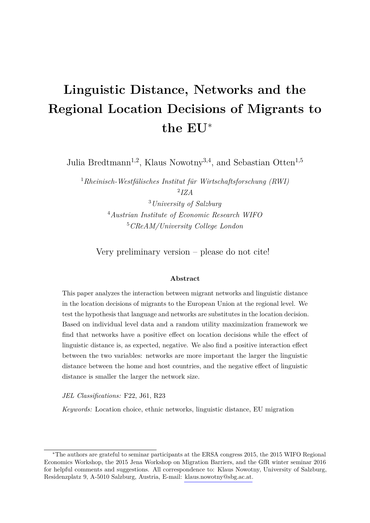# **Linguistic Distance, Networks and the Regional Location Decisions of Migrants to the EU**<sup>∗</sup>

Julia Bredtmann<sup>1,2</sup>, Klaus Nowotny<sup>3,4</sup>, and Sebastian Otten<sup>1,5</sup>

<sup>1</sup>*Rheinisch-Westfälisches Institut für Wirtschaftsforschung (RWI)*

2 *IZA*

<sup>3</sup>*University of Salzburg* <sup>4</sup>*Austrian Institute of Economic Research WIFO* <sup>5</sup>*CReAM/University College London*

Very preliminary version – please do not cite!

#### **Abstract**

This paper analyzes the interaction between migrant networks and linguistic distance in the location decisions of migrants to the European Union at the regional level. We test the hypothesis that language and networks are substitutes in the location decision. Based on individual level data and a random utility maximization framework we find that networks have a positive effect on location decisions while the effect of linguistic distance is, as expected, negative. We also find a positive interaction effect between the two variables: networks are more important the larger the linguistic distance between the home and host countries, and the negative effect of linguistic distance is smaller the larger the network size.

*JEL Classifications:* F22, J61, R23

*Keywords:* Location choice, ethnic networks, linguistic distance, EU migration

<sup>∗</sup>The authors are grateful to seminar participants at the ERSA congress 2015, the 2015 WIFO Regional Economics Workshop, the 2015 Jena Workshop on Migration Barriers, and the GfR winter seminar 2016 for helpful comments and suggestions. All correspondence to: Klaus Nowotny, University of Salzburg, Residenzplatz 9, A-5010 Salzburg, Austria, E-mail: [klaus.nowotny@sbg.ac.at.](mailto:klaus.nowotny@sbg.ac.at)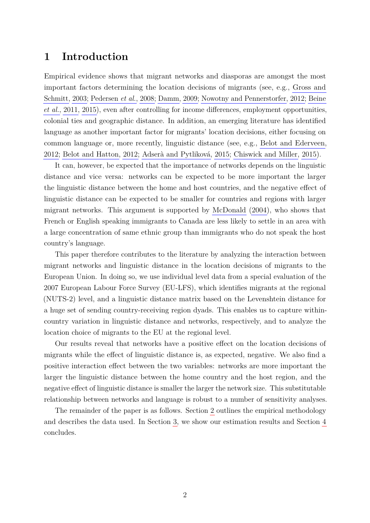## **1 Introduction**

Empirical evidence shows that migrant networks and diasporas are amongst the most important factors determining the location decisions of migrants (see, e.g., [Gross and](#page-10-0) [Schmitt, 2003;](#page-10-0) [Pedersen](#page-10-1) *et al.*, [2008;](#page-10-1) [Damm, 2009;](#page-9-0) [Nowotny and Pennerstorfer, 2012;](#page-10-2) [Beine](#page-9-1) *[et al.](#page-9-1)*, [2011,](#page-9-1) [2015\)](#page-9-2), even after controlling for income differences, employment opportunities, colonial ties and geographic distance. In addition, an emerging literature has identified language as another important factor for migrants' location decisions, either focusing on common language or, more recently, linguistic distance (see, e.g., [Belot and Ederveen,](#page-9-3) [2012;](#page-9-3) [Belot and Hatton, 2012;](#page-9-4) [Adserà and Pytliková, 2015;](#page-9-5) [Chiswick and Miller, 2015\)](#page-9-6).

It can, however, be expected that the importance of networks depends on the linguistic distance and vice versa: networks can be expected to be more important the larger the linguistic distance between the home and host countries, and the negative effect of linguistic distance can be expected to be smaller for countries and regions with larger migrant networks. This argument is supported by [McDonald](#page-10-3) [\(2004\)](#page-10-3), who shows that French or English speaking immigrants to Canada are less likely to settle in an area with a large concentration of same ethnic group than immigrants who do not speak the host country's language.

This paper therefore contributes to the literature by analyzing the interaction between migrant networks and linguistic distance in the location decisions of migrants to the European Union. In doing so, we use individual level data from a special evaluation of the 2007 European Labour Force Survey (EU-LFS), which identifies migrants at the regional (NUTS-2) level, and a linguistic distance matrix based on the Levenshtein distance for a huge set of sending country-receiving region dyads. This enables us to capture withincountry variation in linguistic distance and networks, respectively, and to analyze the location choice of migrants to the EU at the regional level.

Our results reveal that networks have a positive effect on the location decisions of migrants while the effect of linguistic distance is, as expected, negative. We also find a positive interaction effect between the two variables: networks are more important the larger the linguistic distance between the home country and the host region, and the negative effect of linguistic distance is smaller the larger the network size. This substitutable relationship between networks and language is robust to a number of sensitivity analyses.

The remainder of the paper is as follows. Section [2](#page-2-0) outlines the empirical methodology and describes the data used. In Section [3,](#page-5-0) we show our estimation results and Section [4](#page-7-0) concludes.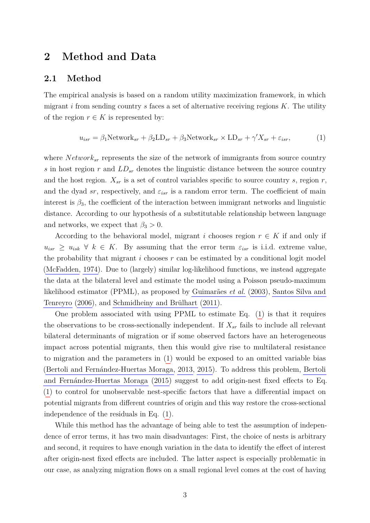### <span id="page-2-0"></span>**2 Method and Data**

#### **2.1 Method**

The empirical analysis is based on a random utility maximization framework, in which migrant  $i$  from sending country  $s$  faces a set of alternative receiving regions  $K$ . The utility of the region  $r \in K$  is represented by:

<span id="page-2-1"></span>
$$
u_{isr} = \beta_1 \text{Network}_{sr} + \beta_2 \text{LD}_{sr} + \beta_3 \text{Network}_{sr} \times \text{LD}_{sr} + \gamma' X_{sr} + \varepsilon_{isr},\tag{1}
$$

where *Network*<sub>sr</sub> represents the size of the network of immigrants from source country *s* in host region *r* and *LDsr* denotes the linguistic distance between the source country and the host region.  $X_{sr}$  is a set of control variables specific to source country *s*, region *r*, and the dyad *sr*, respectively, and  $\varepsilon_{isr}$  is a random error term. The coefficient of main interest is  $\beta_3$ , the coefficient of the interaction between immigrant networks and linguistic distance. According to our hypothesis of a substitutable relationship between language and networks, we expect that  $\beta_3 > 0$ .

According to the behavioral model, migrant *i* chooses region  $r \in K$  if and only if  $u_{isr} \geq u_{isk} \ \forall \ k \in K$ . By assuming that the error term  $\varepsilon_{isr}$  is i.i.d. extreme value, the probability that migrant *i* chooses *r* can be estimated by a conditional logit model [\(McFadden, 1974\)](#page-10-4). Due to (largely) similar log-likelihood functions, we instead aggregate the data at the bilateral level and estimate the model using a Poisson pseudo-maximum likelihood estimator (PPML), as proposed by [Guimarães](#page-10-5) *et al.* [\(2003\)](#page-10-5), [Santos Silva and](#page-10-6) [Tenreyro](#page-10-6) [\(2006\)](#page-10-6), and [Schmidheiny and Brülhart](#page-11-0) [\(2011\)](#page-11-0).

One problem associated with using PPML to estimate Eq. [\(1\)](#page-2-1) is that it requires the observations to be cross-sectionally independent. If  $X_{sr}$  fails to include all relevant bilateral determinants of migration or if some observed factors have an heterogeneous impact across potential migrants, then this would give rise to multilateral resistance to migration and the parameters in [\(1\)](#page-2-1) would be exposed to an omitted variable bias [\(Bertoli and Fernández-Huertas Moraga, 2013,](#page-9-7) [2015\)](#page-9-8). To address this problem, [Bertoli](#page-9-8) [and Fernández-Huertas Moraga](#page-9-8) [\(2015\)](#page-9-8) suggest to add origin-nest fixed effects to Eq. [\(1\)](#page-2-1) to control for unobservable nest-specific factors that have a differential impact on potential migrants from different countries of origin and this way restore the cross-sectional independence of the residuals in Eq. [\(1\)](#page-2-1).

While this method has the advantage of being able to test the assumption of independence of error terms, it has two main disadvantages: First, the choice of nests is arbitrary and second, it requires to have enough variation in the data to identify the effect of interest after origin-nest fixed effects are included. The latter aspect is especially problematic in our case, as analyzing migration flows on a small regional level comes at the cost of having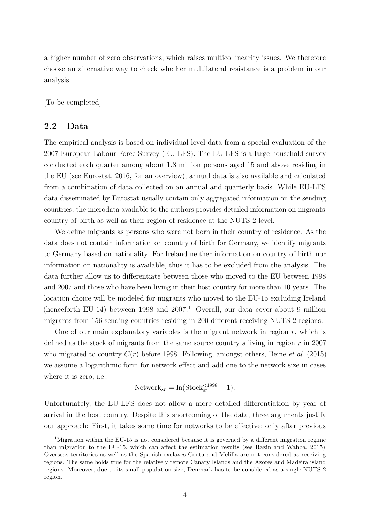a higher number of zero observations, which raises multicollinearity issues. We therefore choose an alternative way to check whether multilateral resistance is a problem in our analysis.

[To be completed]

#### **2.2 Data**

The empirical analysis is based on individual level data from a special evaluation of the 2007 European Labour Force Survey (EU-LFS). The EU-LFS is a large household survey conducted each quarter among about 1.8 million persons aged 15 and above residing in the EU (see [Eurostat, 2016,](#page-9-9) for an overview); annual data is also available and calculated from a combination of data collected on an annual and quarterly basis. While EU-LFS data disseminated by Eurostat usually contain only aggregated information on the sending countries, the microdata available to the authors provides detailed information on migrants' country of birth as well as their region of residence at the NUTS-2 level.

We define migrants as persons who were not born in their country of residence. As the data does not contain information on country of birth for Germany, we identify migrants to Germany based on nationality. For Ireland neither information on country of birth nor information on nationality is available, thus it has to be excluded from the analysis. The data further allow us to differentiate between those who moved to the EU between 1998 and 2007 and those who have been living in their host country for more than 10 years. The location choice will be modeled for migrants who moved to the EU-15 excluding Ireland (henceforth EU-14) between 1998 and  $2007<sup>1</sup>$  Overall, our data cover about 9 million migrants from 156 sending countries residing in 200 different receiving NUTS-2 regions.

One of our main explanatory variables is the migrant network in region *r*, which is defined as the stock of migrants from the same source country *s* living in region *r* in 2007 who migrated to country *C*(*r*) before 1998. Following, amongst others, [Beine](#page-9-2) *et al.* [\(2015\)](#page-9-2) we assume a logarithmic form for network effect and add one to the network size in cases where it is zero, i.e.:

$$
Network_{sr} = \ln(\text{Stock}_{sr}^{<1998} + 1).
$$

Unfortunately, the EU-LFS does not allow a more detailed differentiation by year of arrival in the host country. Despite this shortcoming of the data, three arguments justify our approach: First, it takes some time for networks to be effective; only after previous

<sup>&</sup>lt;sup>1</sup>Migration within the EU-15 is not considered because it is governed by a different migration regime than migration to the EU-15, which can affect the estimation results (see [Razin and Wahba, 2015\)](#page-10-7). Overseas territories as well as the Spanish exclaves Ceuta and Melilla are not considered as receiving regions. The same holds true for the relatively remote Canary Islands and the Azores and Madeira island regions. Moreover, due to its small population size, Denmark has to be considered as a single NUTS-2 region.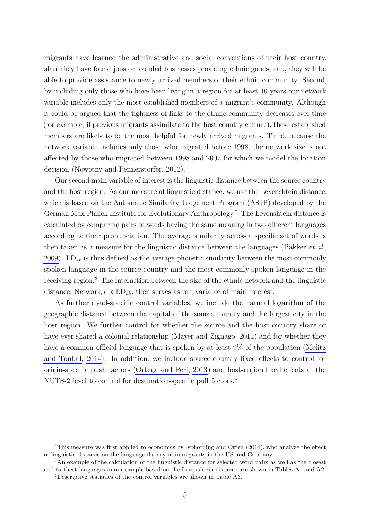migrants have learned the administrative and social conventions of their host country, after they have found jobs or founded businesses providing ethnic goods, etc., they will be able to provide assistance to newly arrived members of their ethnic community. Second, by including only those who have been living in a region for at least 10 years our network variable includes only the most established members of a migrant's community. Although it could be argued that the tightness of links to the ethnic community decreases over time (for example, if previous migrants assimilate to the host country culture), these established members are likely to be the most helpful for newly arrived migrants. Third, because the network variable includes only those who migrated before 1998, the network size is not affected by those who migrated between 1998 and 2007 for which we model the location decision [\(Nowotny and Pennerstorfer, 2012\)](#page-10-2).

Our second main variable of interest is the linguistic distance between the source country and the host region. As our measure of linguistic distance, we use the Levenshtein distance, which is based on the Automatic Similarity Judgement Program (ASJP) developed by the German Max Planck Institute for Evolutionary Anthropology.<sup>2</sup> The Levenshtein distance is calculated by comparing pairs of words having the same meaning in two different languages according to their pronunciation. The average similarity across a specific set of words is then taken as a measure for the linguistic distance between the languages [\(Bakker](#page-9-10) *et al.*, [2009\)](#page-9-10). LD*sr* is thus defined as the average phonetic similarity between the most commonly spoken language in the source country and the most commonly spoken language in the receiving region.<sup>3</sup> The interaction between the size of the ethnic network and the linguistic distance,  $Network_{sk} \times LD_{sk}$ , then serves as our variable of main interest.

As further dyad-specific control variables, we include the natural logarithm of the geographic distance between the capital of the source country and the largest city in the host region. We further control for whether the source and the host country share or have ever shared a colonial relationship [\(Mayer and Zignago, 2011\)](#page-10-8) and for whether they have a common official language that is spoken by at least 9% of the population [\(Melitz](#page-10-9) [and Toubal, 2014\)](#page-10-9). In addition, we include source-country fixed effects to control for origin-specific push factors [\(Ortega and Peri, 2013\)](#page-10-10) and host-region fixed effects at the NUTS-2 level to control for destination-specific pull factors.<sup>4</sup>

<sup>2</sup>This measure was first applied to economics by [Isphording and Otten](#page-10-11) [\(2014\)](#page-10-11), who analyze the effect of linguistic distance on the language fluency of immigrants in the US and Germany.

<sup>3</sup>An example of the calculation of the linguistic distance for selected word pairs as well as the closest and furthest languages in our sample based on the Levenshtein distance are shown in Tables [A1](#page-15-0) and [A2.](#page-15-1) <sup>4</sup>Descriptive statistics of the control variables are shown in Table [A3.](#page-16-0)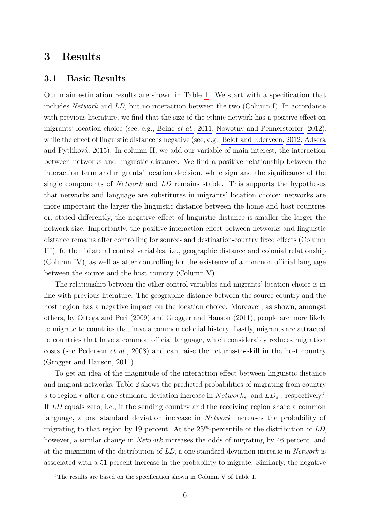## <span id="page-5-0"></span>**3 Results**

#### **3.1 Basic Results**

Our main estimation results are shown in Table [1.](#page-13-0) We start with a specification that includes *Network* and *LD*, but no interaction between the two (Column I). In accordance with previous literature, we find that the size of the ethnic network has a positive effect on migrants' location choice (see, e.g., [Beine](#page-9-1) *et al.*, [2011;](#page-9-1) [Nowotny and Pennerstorfer, 2012\)](#page-10-2), while the effect of linguistic distance is negative (see, e.g., [Belot and Ederveen, 2012;](#page-9-3) [Adserà](#page-9-5) [and Pytliková, 2015\)](#page-9-5). In column II, we add our variable of main interest, the interaction between networks and linguistic distance. We find a positive relationship between the interaction term and migrants' location decision, while sign and the significance of the single components of *Network* and *LD* remains stable. This supports the hypotheses that networks and language are substitutes in migrants' location choice: networks are more important the larger the linguistic distance between the home and host countries or, stated differently, the negative effect of linguistic distance is smaller the larger the network size. Importantly, the positive interaction effect between networks and linguistic distance remains after controlling for source- and destination-country fixed effects (Column III), further bilateral control variables, i.e., geographic distance and colonial relationship (Column IV), as well as after controlling for the existence of a common official language between the source and the host country (Column V).

The relationship between the other control variables and migrants' location choice is in line with previous literature. The geographic distance between the source country and the host region has a negative impact on the location choice. Moreover, as shown, amongst others, by [Ortega and Peri](#page-10-12) [\(2009\)](#page-10-12) and [Grogger and Hanson](#page-9-11) [\(2011\)](#page-9-11), people are more likely to migrate to countries that have a common colonial history. Lastly, migrants are attracted to countries that have a common official language, which considerably reduces migration costs (see [Pedersen](#page-10-1) *et al.*, [2008\)](#page-10-1) and can raise the returns-to-skill in the host country [\(Grogger and Hanson, 2011\)](#page-9-11).

To get an idea of the magnitude of the interaction effect between linguistic distance and migrant networks, Table [2](#page-13-1) shows the predicted probabilities of migrating from country *s* to region *r* after a one standard deviation increase in  $Network_{sr}$  and  $LD_{sr}$ , respectively.<sup>5</sup> If *LD* equals zero, i.e., if the sending country and the receiving region share a common language, a one standard deviation increase in *Network* increases the probability of migrating to that region by 19 percent. At the 25*th*-percentile of the distribution of *LD*, however, a similar change in *Network* increases the odds of migrating by 46 percent, and at the maximum of the distribution of *LD*, a one standard deviation increase in *Network* is associated with a 51 percent increase in the probability to migrate. Similarly, the negative

<sup>5</sup>The results are based on the specification shown in Column V of Table [1.](#page-13-0)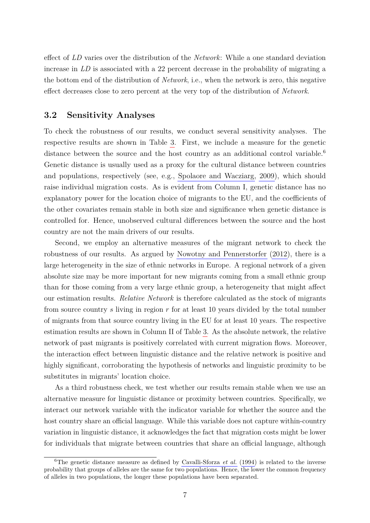effect of *LD* varies over the distribution of the *Network*: While a one standard deviation increase in *LD* is associated with a 22 percent decrease in the probability of migrating a the bottom end of the distribution of *Network*, i.e., when the network is zero, this negative effect decreases close to zero percent at the very top of the distribution of *Network*.

#### **3.2 Sensitivity Analyses**

To check the robustness of our results, we conduct several sensitivity analyses. The respective results are shown in Table [3.](#page-14-0) First, we include a measure for the genetic distance between the source and the host country as an additional control variable.<sup>6</sup> Genetic distance is usually used as a proxy for the cultural distance between countries and populations, respectively (see, e.g., [Spolaore and Wacziarg, 2009\)](#page-11-1), which should raise individual migration costs. As is evident from Column I, genetic distance has no explanatory power for the location choice of migrants to the EU, and the coefficients of the other covariates remain stable in both size and significance when genetic distance is controlled for. Hence, unobserved cultural differences between the source and the host country are not the main drivers of our results.

Second, we employ an alternative measures of the migrant network to check the robustness of our results. As argued by [Nowotny and Pennerstorfer](#page-10-2) [\(2012\)](#page-10-2), there is a large heterogeneity in the size of ethnic networks in Europe. A regional network of a given absolute size may be more important for new migrants coming from a small ethnic group than for those coming from a very large ethnic group, a heterogeneity that might affect our estimation results. *Relative Network* is therefore calculated as the stock of migrants from source country *s* living in region *r* for at least 10 years divided by the total number of migrants from that source country living in the EU for at least 10 years. The respective estimation results are shown in Column II of Table [3.](#page-14-0) As the absolute network, the relative network of past migrants is positively correlated with current migration flows. Moreover, the interaction effect between linguistic distance and the relative network is positive and highly significant, corroborating the hypothesis of networks and linguistic proximity to be substitutes in migrants' location choice.

As a third robustness check, we test whether our results remain stable when we use an alternative measure for linguistic distance or proximity between countries. Specifically, we interact our network variable with the indicator variable for whether the source and the host country share an official language. While this variable does not capture within-country variation in linguistic distance, it acknowledges the fact that migration costs might be lower for individuals that migrate between countries that share an official language, although

<sup>&</sup>lt;sup>6</sup>The genetic distance measure as defined by [Cavalli-Sforza](#page-9-12)  $et$   $al$ . [\(1994\)](#page-9-12) is related to the inverse probability that groups of alleles are the same for two populations. Hence, the lower the common frequency of alleles in two populations, the longer these populations have been separated.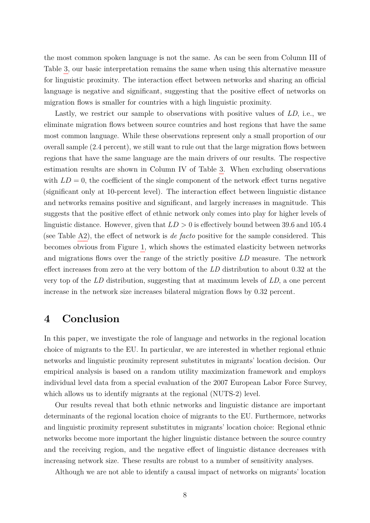the most common spoken language is not the same. As can be seen from Column III of Table [3,](#page-14-0) our basic interpretation remains the same when using this alternative measure for linguistic proximity. The interaction effect between networks and sharing an official language is negative and significant, suggesting that the positive effect of networks on migration flows is smaller for countries with a high linguistic proximity.

Lastly, we restrict our sample to observations with positive values of *LD*, i.e., we eliminate migration flows between source countries and host regions that have the same most common language. While these observations represent only a small proportion of our overall sample (2.4 percent), we still want to rule out that the large migration flows between regions that have the same language are the main drivers of our results. The respective estimation results are shown in Column IV of Table [3.](#page-14-0) When excluding observations with  $LD = 0$ , the coefficient of the single component of the network effect turns negative (significant only at 10-percent level). The interaction effect between linguistic distance and networks remains positive and significant, and largely increases in magnitude. This suggests that the positive effect of ethnic network only comes into play for higher levels of linguistic distance. However, given that *LD >* 0 is effectively bound between 39.6 and 105.4 (see Table [A2\)](#page-15-1), the effect of network is *de facto* positive for the sample considered. This becomes obvious from Figure [1,](#page-12-0) which shows the estimated elasticity between networks and migrations flows over the range of the strictly positive *LD* measure. The network effect increases from zero at the very bottom of the *LD* distribution to about 0.32 at the very top of the *LD* distribution, suggesting that at maximum levels of *LD*, a one percent increase in the network size increases bilateral migration flows by 0.32 percent.

## <span id="page-7-0"></span>**4 Conclusion**

In this paper, we investigate the role of language and networks in the regional location choice of migrants to the EU. In particular, we are interested in whether regional ethnic networks and linguistic proximity represent substitutes in migrants' location decision. Our empirical analysis is based on a random utility maximization framework and employs individual level data from a special evaluation of the 2007 European Labor Force Survey, which allows us to identify migrants at the regional (NUTS-2) level.

Our results reveal that both ethnic networks and linguistic distance are important determinants of the regional location choice of migrants to the EU. Furthermore, networks and linguistic proximity represent substitutes in migrants' location choice: Regional ethnic networks become more important the higher linguistic distance between the source country and the receiving region, and the negative effect of linguistic distance decreases with increasing network size. These results are robust to a number of sensitivity analyses.

Although we are not able to identify a causal impact of networks on migrants' location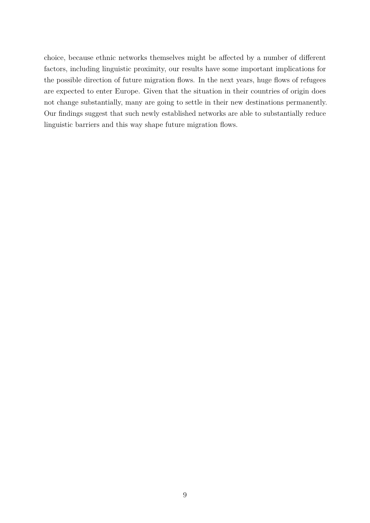choice, because ethnic networks themselves might be affected by a number of different factors, including linguistic proximity, our results have some important implications for the possible direction of future migration flows. In the next years, huge flows of refugees are expected to enter Europe. Given that the situation in their countries of origin does not change substantially, many are going to settle in their new destinations permanently. Our findings suggest that such newly established networks are able to substantially reduce linguistic barriers and this way shape future migration flows.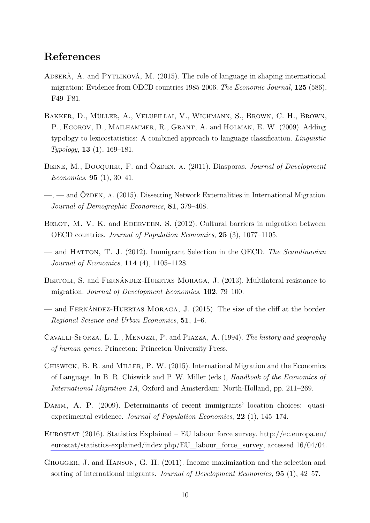## **References**

- <span id="page-9-5"></span>ADSERÀ, A. and PYTLIKOVÁ, M. (2015). The role of language in shaping international migration: Evidence from OECD countries 1985-2006. *The Economic Journal*, **125** (586), F49–F81.
- <span id="page-9-10"></span>Bakker, D., Müller, A., Velupillai, V., Wichmann, S., Brown, C. H., Brown, P., EGOROV, D., MAILHAMMER, R., GRANT, A. and HOLMAN, E. W. (2009). Adding typology to lexicostatistics: A combined approach to language classification. *Linguistic Typology*, **13** (1), 169–181.
- <span id="page-9-1"></span>BEINE, M., DOCQUIER, F. and ÖZDEN, A. (2011). Diasporas. *Journal of Development Economics*, **95** (1), 30–41.
- <span id="page-9-2"></span> $-$ ,  $-$  and ÖZDEN, A. (2015). Dissecting Network Externalities in International Migration. *Journal of Demographic Economics*, **81**, 379–408.
- <span id="page-9-3"></span>BELOT, M. V. K. and EDERVEEN, S. (2012). Cultural barriers in migration between OECD countries. *Journal of Population Economics*, **25** (3), 1077–1105.
- <span id="page-9-4"></span>— and Hatton, T. J. (2012). Immigrant Selection in the OECD. *The Scandinavian Journal of Economics*, **114** (4), 1105–1128.
- <span id="page-9-7"></span>Bertoli, S. and Fernández-Huertas Moraga, J. (2013). Multilateral resistance to migration. *Journal of Development Economics*, **102**, 79–100.
- <span id="page-9-8"></span>— and Fernández-Huertas Moraga, J. (2015). The size of the cliff at the border. *Regional Science and Urban Economics*, **51**, 1–6.
- <span id="page-9-12"></span>Cavalli-Sforza, L. L., Menozzi, P. and Piazza, A. (1994). *The history and geography of human genes*. Princeton: Princeton University Press.
- <span id="page-9-6"></span>Chiswick, B. R. and Miller, P. W. (2015). International Migration and the Economics of Language. In B. R. Chiswick and P. W. Miller (eds.), *Handbook of the Economics of International Migration 1A*, Oxford and Amsterdam: North-Holland, pp. 211–269.
- <span id="page-9-0"></span>Damm, A. P. (2009). Determinants of recent immigrants' location choices: quasiexperimental evidence. *Journal of Population Economics*, **22** (1), 145–174.
- <span id="page-9-9"></span>EUROSTAT (2016). Statistics Explained – EU labour force survey. [http://ec.europa.eu/](http://ec.europa.eu/eurostat/statistics-explained/index.php/EU_labour_force_survey) [eurostat/statistics-explained/index.php/EU\\_labour\\_force\\_survey,](http://ec.europa.eu/eurostat/statistics-explained/index.php/EU_labour_force_survey) accessed 16/04/04.
- <span id="page-9-11"></span>Grogger, J. and Hanson, G. H. (2011). Income maximization and the selection and sorting of international migrants. *Journal of Development Economics*, **95** (1), 42–57.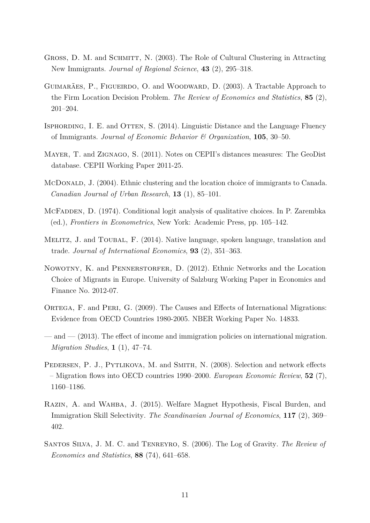- <span id="page-10-0"></span>GROSS, D. M. and SCHMITT, N. (2003). The Role of Cultural Clustering in Attracting New Immigrants. *Journal of Regional Science*, **43** (2), 295–318.
- <span id="page-10-5"></span>GUIMARÃES, P., FIGUEIRDO, O. and WOODWARD, D. (2003). A Tractable Approach to the Firm Location Decision Problem. *The Review of Economics and Statistics*, **85** (2), 201–204.
- <span id="page-10-11"></span>ISPHORDING, I. E. and OTTEN, S. (2014). Linguistic Distance and the Language Fluency of Immigrants. *Journal of Economic Behavior & Organization*, **105**, 30–50.
- <span id="page-10-8"></span>Mayer, T. and Zignago, S. (2011). Notes on CEPII's distances measures: The GeoDist database. CEPII Working Paper 2011-25.
- <span id="page-10-3"></span>McDonald, J. (2004). Ethnic clustering and the location choice of immigrants to Canada. *Canadian Journal of Urban Research*, **13** (1), 85–101.
- <span id="page-10-4"></span>MCFADDEN, D. (1974). Conditional logit analysis of qualitative choices. In P. Zarembka (ed.), *Frontiers in Econometrics*, New York: Academic Press, pp. 105–142.
- <span id="page-10-9"></span>MELITZ, J. and TOUBAL, F. (2014). Native language, spoken language, translation and trade. *Journal of International Economics*, **93** (2), 351–363.
- <span id="page-10-2"></span>NOWOTNY, K. and PENNERSTORFER, D. (2012). Ethnic Networks and the Location Choice of Migrants in Europe. University of Salzburg Working Paper in Economics and Finance No. 2012-07.
- <span id="page-10-12"></span>ORTEGA, F. and PERI, G. (2009). The Causes and Effects of International Migrations: Evidence from OECD Countries 1980-2005. NBER Working Paper No. 14833.
- <span id="page-10-10"></span>— and — (2013). The effect of income and immigration policies on international migration. *Migration Studies*, **1** (1), 47–74.
- <span id="page-10-1"></span>PEDERSEN, P. J., PYTLIKOVA, M. and SMITH, N. (2008). Selection and network effects – Migration flows into OECD countries 1990–2000. *European Economic Review*, **52** (7), 1160–1186.
- <span id="page-10-7"></span>Razin, A. and Wahba, J. (2015). Welfare Magnet Hypothesis, Fiscal Burden, and Immigration Skill Selectivity. *The Scandinavian Journal of Economics*, **117** (2), 369– 402.
- <span id="page-10-6"></span>Santos Silva, J. M. C. and Tenreyro, S. (2006). The Log of Gravity. *The Review of Economics and Statistics*, **88** (74), 641–658.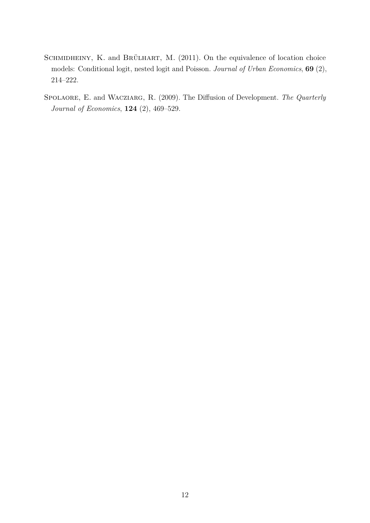- <span id="page-11-0"></span>SCHMIDHEINY, K. and BRÜLHART, M. (2011). On the equivalence of location choice models: Conditional logit, nested logit and Poisson. *Journal of Urban Economics*, **69** (2), 214–222.
- <span id="page-11-1"></span>Spolaore, E. and Wacziarg, R. (2009). The Diffusion of Development. *The Quarterly Journal of Economics*, **124** (2), 469–529.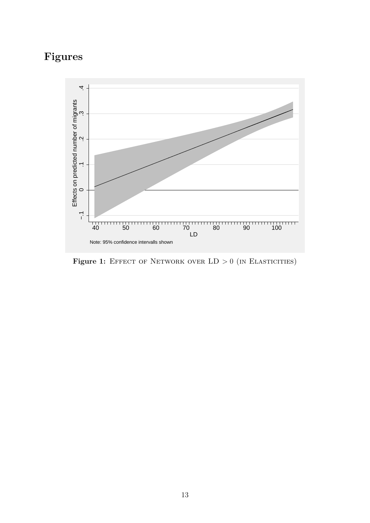# **Figures**

<span id="page-12-0"></span>

Figure 1: EFFECT OF NETWORK OVER  $LD > 0$  (in ELASTICITIES)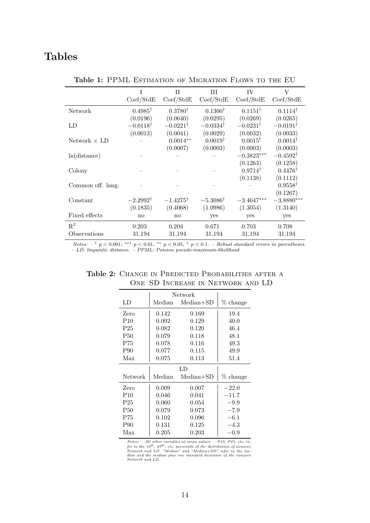## <span id="page-13-0"></span>**Tables**

|                     | Ī<br>Coef/StdE      | $\mathbf{H}$<br>Coef/StdE | Ш<br>Coef/StdE      | IV<br>Coef/StdE     | $\rm V$<br>Coef/StdE |
|---------------------|---------------------|---------------------------|---------------------|---------------------|----------------------|
| <b>Network</b>      | $0.4985^{\dagger}$  | $0.3780^{\dagger}$        | $0.1300^{\dagger}$  | $0.1151^{\dagger}$  | $0.1114^{\dagger}$   |
|                     | (0.0196)            | (0.0640)                  | (0.0295)            | (0.0269)            | (0.0265)             |
| LD                  | $-0.0118^{\dagger}$ | $-0.0221^{\dagger}$       | $-0.0334^{\dagger}$ | $-0.0231^{\dagger}$ | $-0.0191^{\dagger}$  |
|                     | (0.0013)            | (0.0041)                  | (0.0029)            | (0.0032)            | (0.0033)             |
| Network $\times$ LD |                     | $0.0014**$                | $0.0019^{\dagger}$  | $0.0015^{\dagger}$  | $0.0014^{\dagger}$   |
|                     |                     | (0.0007)                  | (0.0003)            | (0.0003)            | (0.0003)             |
| ln(distance)        |                     |                           |                     | $-0.3823***$        | $-0.4592^{\dagger}$  |
|                     |                     |                           |                     | (0.1263)            | (0.1258)             |
| Colony              |                     |                           |                     | $0.9714^{\dagger}$  | $0.4476^{\dagger}$   |
|                     |                     |                           |                     | (0.1138)            | (0.1112)             |
| Common off. lang.   |                     |                           |                     |                     | $0.9558^{\dagger}$   |
|                     |                     |                           |                     |                     | (0.1267)             |
| Constant            | $-2.2992^{\dagger}$ | $-1.4275^{\dagger}$       | $-5.3086^{\dagger}$ | $-3.4647***$        | $-3.8880***$         |
|                     | (0.1835)            | (0.4068)                  | (1.0986)            | (1.3054)            | (1.3140)             |
| Fixed effects       | $\mathbf{n}$        | no                        | yes                 | yes                 | yes                  |
| $\mathbf{R}^2$      | 0.203               | 0.204                     | 0.671               | 0.703               | 0.708                |
| Observations        | 31,194              | 31,194                    | 31,194              | 31,194              | 31,194               |

Table 1: PPML ESTIMATION OF MIGRATION FLOWS TO THE EU

<span id="page-13-1"></span>*Notes:*  $-$ <sup>†</sup>  $p$  < 0.001; \*\*\*  $p$  < 0.01; \*\*  $p$  < 0.05; \*  $p$  < 0.1. – Robust standard errors in parentheses. *– LD: linguistic distance. – PPML: Poisson pseudo-maximum-likelihood.*

|                 | Network |             |          |  |
|-----------------|---------|-------------|----------|--|
| LD              | Median  | $Median+SD$ | % change |  |
| Zero            | 0.142   | 0.169       | 19.4     |  |
| P <sub>10</sub> | 0.092   | 0.129       | 40.0     |  |
| P <sub>25</sub> | 0.082   | 0.120       | 46.4     |  |
| <b>P50</b>      | 0.079   | 0.118       | 48.1     |  |
| P75             | 0.078   | 0.116       | 49.3     |  |
| P90             | 0.077   | 0.115       | 49.9     |  |
| Max             | 0.075   | 0.113       | 51.4     |  |
| LD              |         |             |          |  |
| Network         | Median  | $Median+SD$ | % change |  |
| Zero            | 0.009   | 0.007       | $-22.0$  |  |
| P10             | 0.046   | 0.041       | $-11.7$  |  |
| P <sub>25</sub> | 0.060   | 0.054       | $-9.9$   |  |
| <b>P50</b>      | 0.079   | 0.073       | $-7.9$   |  |
| P75             | 0.102   | 0.096       | $-6.1$   |  |
| P90             | 0.131   | 0.125       | $-4.3$   |  |
| Max             | 0.205   | 0.203       | $-0.9$   |  |

Table 2: CHANGE IN PREDICTED PROBABILITIES AFTER A One SD Increase in Network and LD

Notes:  $-$  All other variables at mean values.  $-$  P10, P25, etc. refer to the  $10^{th}$ ,  $25^{th}$ , etc. percentile of the distribution of nonzero Network and LD. "Median" and "Median+SD" refer to the median nud the median p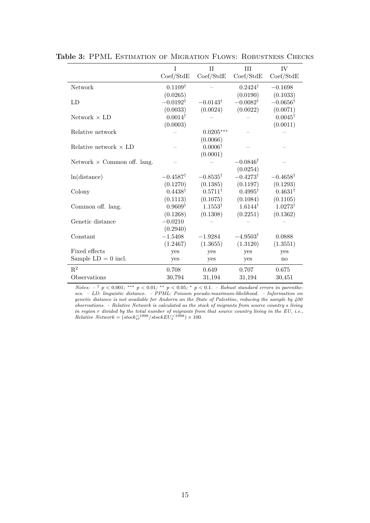|                                    | Τ                      | $\mathbf{H}$        | Ш                   | IV                  |
|------------------------------------|------------------------|---------------------|---------------------|---------------------|
|                                    | Coef/StdE              | Coef/StdE           | Coef/StdE           | Coef/StdE           |
| <b>Network</b>                     | $0.1109^{\dagger}$     |                     | $0.2424^{\dagger}$  | $-0.1698$           |
|                                    | (0.0265)               |                     | (0.0190)            | (0.1033)            |
| LD                                 | $-0.0192^{\dagger}$    | $-0.0143^{\dagger}$ | $-0.0082^{\dagger}$ | $-0.0656^{\dagger}$ |
|                                    | (0.0033)               | (0.0024)            | (0.0022)            | (0.0071)            |
| Network $\times$ LD                | $0.0014^{\dagger}$     |                     |                     | $0.0045^{\dagger}$  |
|                                    | (0.0003)               |                     |                     | (0.0011)            |
| Relative network                   |                        | $0.0205***$         |                     |                     |
|                                    |                        | (0.0066)            |                     |                     |
| Relative network $\times$ LD       |                        | $0.0006^{\dagger}$  |                     |                     |
|                                    |                        | (0.0001)            |                     |                     |
| Network $\times$ Common off. lang. |                        |                     | $-0.0846^{\dagger}$ |                     |
|                                    |                        |                     | (0.0254)            |                     |
| ln(distance)                       | $-0.4587$ <sup>†</sup> | $-0.8535^{\dagger}$ | $-0.4273^{\dagger}$ | $-0.4658^{\dagger}$ |
|                                    | (0.1270)               | (0.1385)            | (0.1197)            | (0.1293)            |
| Colony                             | $0.4438^{\dagger}$     | $0.5711^{\dagger}$  | $0.4995^{\dagger}$  | $0.4631^{\dagger}$  |
|                                    | (0.1113)               | (0.1075)            | (0.1084)            | (0.1105)            |
| Common off. lang.                  | $0.9609^{\dagger}$     | $1.1553^{\dagger}$  | $1.6144^{\dagger}$  | $1.0273^{\dagger}$  |
|                                    | (0.1268)               | (0.1308)            | (0.2251)            | (0.1362)            |
| Genetic distance                   | $-0.0210$              |                     |                     |                     |
|                                    | (0.2940)               |                     |                     |                     |
| Constant                           | $-1.5408$              | $-1.9284$           | $-4.9503^{\dagger}$ | 0.0888              |
|                                    | (1.2467)               | (1.3655)            | (1.3120)            | (1.3551)            |
| Fixed effects                      | yes                    | yes                 | yes                 | yes                 |
| Sample $LD = 0$ incl.              | yes                    | yes                 | yes                 | no                  |
| $\mathbf{R}^2$                     | 0.708                  | 0.649               | 0.707               | 0.675               |
| Observations                       | 30,794                 | 31,194              | 31,194              | 30,451              |

<span id="page-14-0"></span>Table 3: PPML ESTIMATION OF MIGRATION FLOWS: ROBUSTNESS CHECKS

*Notes:*  $-\frac{1}{r} p < 0.001$ ; \*\*\*  $p < 0.01$ ; \*\*  $p < 0.05$ ; \*  $p < 0.1$ . – Robust standard errors in parenthe*ses. – LD: linguistic distance. – PPML: Poisson pseudo-maximum-likelihood. – Information on genetic distance is not available for Andorra an the State of Palestine, reducing the sample by 400 observations. – Relative Network is calculated as the stock of migrants from source country s living in region r divided by the total number of migrants from that source country living in the EU, i.e.,*  $Relative$   $Network = (stock_{sr}^{<1998}/stockEU_{s}^{<1998}) \times 100$ .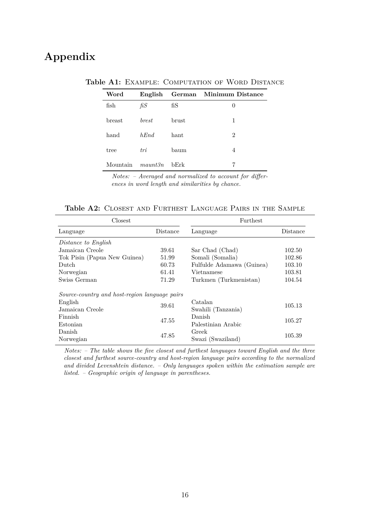## <span id="page-15-0"></span>**Appendix**

| Word     | English              |               | German Minimum Distance |
|----------|----------------------|---------------|-------------------------|
| fish     | fiS                  | $f_{\rm{IS}}$ | $\theta$                |
| breast   | <i>brest</i>         | brust         | 1                       |
| hand     | hEnd                 | hant          | $\overline{2}$          |
| tree     | tri                  | baum          | 4                       |
| Mountain | $m$ <i>aunt</i> $3n$ | bErk          | 7                       |

Table A1: EXAMPLE: COMPUTATION OF WORD DISTANCE

*Notes: – Averaged and normalized to account for differences in word length and similarities by chance.*

<span id="page-15-1"></span>

| Closest                                       |          | Furthest                  |          |  |
|-----------------------------------------------|----------|---------------------------|----------|--|
| Language                                      | Distance | Language                  | Distance |  |
| Distance to English                           |          |                           |          |  |
| Jamaican Creole                               | 39.61    | Sar Chad (Chad)           | 102.50   |  |
| Tok Pisin (Papua New Guinea)                  | 51.99    | Somali (Somalia)          | 102.86   |  |
| Dutch                                         | 60.73    | Fulfulde Adamawa (Guinea) | 103.10   |  |
| Norwegian                                     | 61.41    | Vietnamese                | 103.81   |  |
| Swiss German                                  | 71.29    | Turkmen (Turkmenistan)    | 104.54   |  |
| Source-country and host-region language pairs |          |                           |          |  |
| English                                       | 39.61    | Catalan                   | 105.13   |  |
| Jamaican Creole                               |          | Swahili (Tanzania)        |          |  |
| Finnish                                       | 47.55    | Danish                    | 105.27   |  |
| Estonian                                      |          | Palestinian Arabic        |          |  |
| Danish                                        | 47.85    | Greek                     | 105.39   |  |
| Norwegian                                     |          | Swazi (Swaziland)         |          |  |

*Notes: – The table shows the five closest and furthest languages toward English and the three closest and furthest source-country and host-region language pairs according to the normalized and divided Levenshtein distance. – Only languages spoken within the estimation sample are listed. – Geographic origin of language in parentheses.*